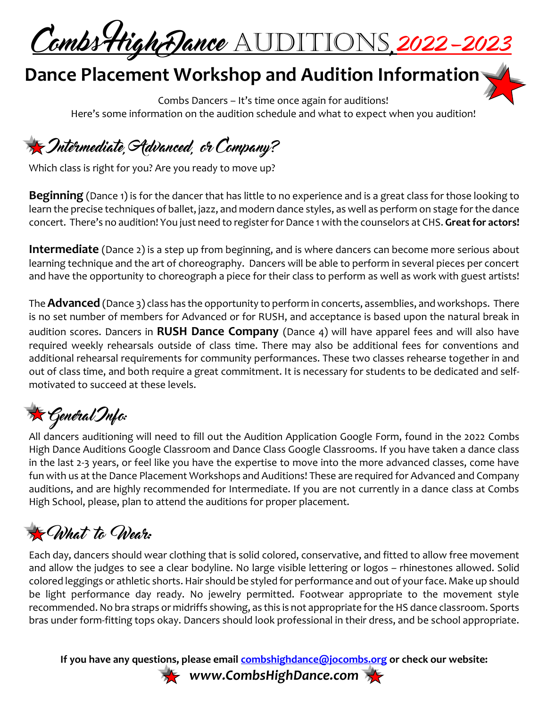Combs High Dance AUDITIONS, 2022-2023

# **Dance Placement Workshop and Audition Information**

Combs Dancers – It's time once again for auditions! Here's some information on the audition schedule and what to expect when you audition!

**X** Intermediate, Advanced, or Company?

Which class is right for you? Are you ready to move up?

**Beginning** (Dance 1) is for the dancer that has little to no experience and is a great class for those looking to learn the precise techniques of ballet, jazz, and modern dance styles, as well as perform on stage for the dance concert. There's no audition! You just need to register for Dance 1 with the counselors at CHS. **Great for actors!**

**Intermediate** (Dance 2) is a step up from beginning, and is where dancers can become more serious about learning technique and the art of choreography. Dancers will be able to perform in several pieces per concert and have the opportunity to choreograph a piece for their class to perform as well as work with guest artists!

The **Advanced** (Dance 3) class has the opportunity to perform in concerts, assemblies, and workshops. There is no set number of members for Advanced or for RUSH, and acceptance is based upon the natural break in audition scores. Dancers in **RUSH Dance Company** (Dance 4) will have apparel fees and will also have required weekly rehearsals outside of class time. There may also be additional fees for conventions and additional rehearsal requirements for community performances. These two classes rehearse together in and out of class time, and both require a great commitment. It is necessary for students to be dedicated and selfmotivated to succeed at these levels.

# <del>VX</del> General Info:

All dancers auditioning will need to fill out the Audition Application Google Form, found in the 2022 Combs High Dance Auditions Google Classroom and Dance Class Google Classrooms. If you have taken a dance class in the last 2-3 years, or feel like you have the expertise to move into the more advanced classes, come have fun with us at the Dance Placement Workshops and Auditions! These are required for Advanced and Company auditions, and are highly recommended for Intermediate. If you are not currently in a dance class at Combs High School, please, plan to attend the auditions for proper placement.

# **CWhat to Wear:**

Each day, dancers should wear clothing that is solid colored, conservative, and fitted to allow free movement and allow the judges to see a clear bodyline. No large visible lettering or logos – rhinestones allowed. Solid colored leggings or athletic shorts. Hair should be styled for performance and out of your face. Make up should be light performance day ready. No jewelry permitted. Footwear appropriate to the movement style recommended. No bra straps or midriffs showing, as this is not appropriate for the HS dance classroom. Sports bras under form-fitting tops okay. Dancers should look professional in their dress, and be school appropriate.

**If you have any questions, please email [combshighdance@jocombs.org](mailto:combshighdance@jocombs.org) or check our website:**

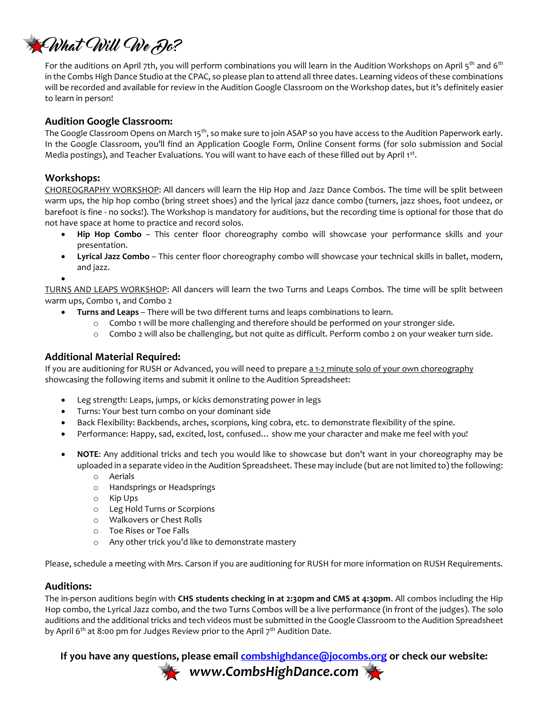

For the auditions on April 7th, you will perform combinations you will learn in the Audition Workshops on April 5<sup>th</sup> and 6<sup>th</sup> in the Combs High Dance Studio at the CPAC, so please plan to attend all three dates. Learning videos of these combinations will be recorded and available for review in the Audition Google Classroom on the Workshop dates, but it's definitely easier to learn in person!

#### **Audition Google Classroom:**

The Google Classroom Opens on March 15<sup>th</sup>, so make sure to join ASAP so you have access to the Audition Paperwork early. In the Google Classroom, you'll find an Application Google Form, Online Consent forms (for solo submission and Social Media postings), and Teacher Evaluations. You will want to have each of these filled out by April 1st.

#### **Workshops:**

CHOREOGRAPHY WORKSHOP: All dancers will learn the Hip Hop and Jazz Dance Combos. The time will be split between warm ups, the hip hop combo (bring street shoes) and the lyrical jazz dance combo (turners, jazz shoes, foot undeez, or barefoot is fine - no socks!). The Workshop is mandatory for auditions, but the recording time is optional for those that do not have space at home to practice and record solos.

- **Hip Hop Combo** This center floor choreography combo will showcase your performance skills and your presentation.
- **Lyrical Jazz Combo**  This center floor choreography combo will showcase your technical skills in ballet, modern, and jazz.

 $\bullet$ 

TURNS AND LEAPS WORKSHOP: All dancers will learn the two Turns and Leaps Combos. The time will be split between warm ups, Combo 1, and Combo 2

- **Turns and Leaps** There will be two different turns and leaps combinations to learn.
	- o Combo 1 will be more challenging and therefore should be performed on your stronger side.
	- o Combo 2 will also be challenging, but not quite as difficult. Perform combo 2 on your weaker turn side.

#### **Additional Material Required:**

If you are auditioning for RUSH or Advanced, you will need to prepare a 1-2 minute solo of your own choreography showcasing the following items and submit it online to the Audition Spreadsheet:

- Leg strength: Leaps, jumps, or kicks demonstrating power in legs
- Turns: Your best turn combo on your dominant side
- Back Flexibility: Backbends, arches, scorpions, king cobra, etc. to demonstrate flexibility of the spine.
- Performance: Happy, sad, excited, lost, confused… show me your character and make me feel with you!
- **NOTE**: Any additional tricks and tech you would like to showcase but don't want in your choreography may be uploaded in a separate video in the Audition Spreadsheet. These may include (but are not limited to) the following:
	- o Aerials
	- o Handsprings or Headsprings
	- o Kip Ups
	- o Leg Hold Turns or Scorpions
	- o Walkovers or Chest Rolls
	- o Toe Rises or Toe Falls
	- o Any other trick you'd like to demonstrate mastery

Please, schedule a meeting with Mrs. Carson if you are auditioning for RUSH for more information on RUSH Requirements.

#### **Auditions:**

The in-person auditions begin with **CHS students checking in at 2:30pm and CMS at 4:30pm**. All combos including the Hip Hop combo, the Lyrical Jazz combo, and the two Turns Combos will be a live performance (in front of the judges). The solo auditions and the additional tricks and tech videos must be submitted in the Google Classroom to the Audition Spreadsheet by April 6<sup>th</sup> at 8:00 pm for Judges Review prior to the April 7<sup>th</sup> Audition Date.

**If you have any questions, please email [combshighdance@jocombs.org](mailto:combshighdance@jocombs.org) or check our website:**

**www.CombsHighDance.com**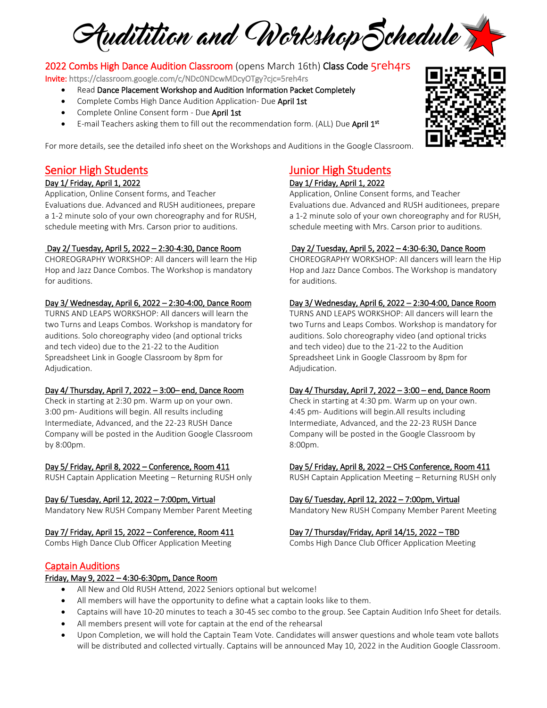Auditition and Workshop Schedule

#### 2022 Combs High Dance Audition Classroom (opens March 16th) Class Code 5reh4rs

Invite: https://classroom.google.com/c/NDc0NDcwMDcyOTgy?cjc=5reh4rs

- Read Dance Placement Workshop and Audition Information Packet Completely
- Complete Combs High Dance Audition Application- Due April 1st
- Complete Online Consent form Due April 1st
- E-mail Teachers asking them to fill out the recommendation form. (ALL) Due April 1<sup>st</sup>

For more details, see the detailed info sheet on the Workshops and Auditions in the Google Classroom.

### Senior High Students

#### Day 1/ Friday, April 1, 2022

Application, Online Consent forms, and Teacher Evaluations due. Advanced and RUSH auditionees, prepare a 1-2 minute solo of your own choreography and for RUSH, schedule meeting with Mrs. Carson prior to auditions.

#### Day 2/ Tuesday, April 5, 2022 – 2:30-4:30, Dance Room

CHOREOGRAPHY WORKSHOP: All dancers will learn the Hip Hop and Jazz Dance Combos. The Workshop is mandatory for auditions.

#### Day 3/ Wednesday, April 6, 2022 – 2:30-4:00, Dance Room

TURNS AND LEAPS WORKSHOP: All dancers will learn the two Turns and Leaps Combos. Workshop is mandatory for auditions. Solo choreography video (and optional tricks and tech video) due to the 21-22 to the Audition Spreadsheet Link in Google Classroom by 8pm for Adjudication.

#### Day 4/ Thursday, April 7, 2022 – 3:00– end, Dance Room

Check in starting at 2:30 pm. Warm up on your own. 3:00 pm- Auditions will begin. All results including Intermediate, Advanced, and the 22-23 RUSH Dance Company will be posted in the Audition Google Classroom by 8:00pm.

#### Day 5/ Friday, April 8, 2022 – Conference, Room 411

RUSH Captain Application Meeting – Returning RUSH only

#### Day 6/ Tuesday, April 12, 2022 – 7:00pm, Virtual

Mandatory New RUSH Company Member Parent Meeting

#### Day 7/ Friday, April 15, 2022 – Conference, Room 411

Combs High Dance Club Officer Application Meeting

## Junior High Students

#### Day 1/ Friday, April 1, 2022

Application, Online Consent forms, and Teacher Evaluations due. Advanced and RUSH auditionees, prepare a 1-2 minute solo of your own choreography and for RUSH, schedule meeting with Mrs. Carson prior to auditions.

#### Day 2/ Tuesday, April 5, 2022 – 4:30-6:30, Dance Room

CHOREOGRAPHY WORKSHOP: All dancers will learn the Hip Hop and Jazz Dance Combos. The Workshop is mandatory for auditions.

#### Day 3/ Wednesday, April 6, 2022 – 2:30-4:00, Dance Room

TURNS AND LEAPS WORKSHOP: All dancers will learn the two Turns and Leaps Combos. Workshop is mandatory for auditions. Solo choreography video (and optional tricks and tech video) due to the 21-22 to the Audition Spreadsheet Link in Google Classroom by 8pm for Adjudication.

#### Day 4/ Thursday, April 7, 2022 – 3:00 – end, Dance Room

Check in starting at 4:30 pm. Warm up on your own. 4:45 pm- Auditions will begin.All results including Intermediate, Advanced, and the 22-23 RUSH Dance Company will be posted in the Google Classroom by 8:00pm.

#### Day 5/ Friday, April 8, 2022 – CHS Conference, Room 411

RUSH Captain Application Meeting – Returning RUSH only

#### Day 6/ Tuesday, April 12, 2022 – 7:00pm, Virtual

Mandatory New RUSH Company Member Parent Meeting

#### Day 7/ Thursday/Friday, April 14/15, 2022 – TBD

Combs High Dance Club Officer Application Meeting

#### Captain Auditions

#### Friday, May 9, 2022 – 4:30-6:30pm, Dance Room

- All New and Old RUSH Attend, 2022 Seniors optional but welcome!
- All members will have the opportunity to define what a captain looks like to them.
- Captains will have 10-20 minutes to teach a 30-45 sec combo to the group. See Captain Audition Info Sheet for details.
- All members present will vote for captain at the end of the rehearsal
- Upon Completion, we will hold the Captain Team Vote. Candidates will answer questions and whole team vote ballots will be distributed and collected virtually. Captains will be announced May 10, 2022 in the Audition Google Classroom.

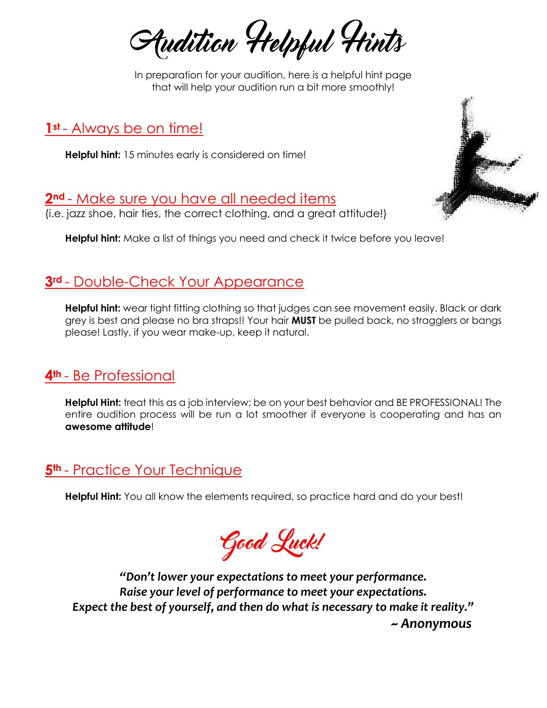Audition Helpful Hints

In preparation for your audition, here is a helpful hint page that will help your audition run a bit more smoothly!

## **1st** - Always be on time!

**Helpful hint:** 15 minutes early is considered on time!

## **2nd** - Make sure you have all needed items

(i.e. jazz shoe, hair ties, the correct clothing, and a great attitude!)

**Helpful hint:** Make a list of things you need and check it twice before you leave!

# **3rd** - Double-Check Your Appearance

**Helpful hint:** wear tight fitting clothing so that judges can see movement easily. Black or dark grey is best and please no bra straps!! Your hair **MUST** be pulled back, no stragglers or bangs please! Lastly, if you wear make-up, keep it natural.

# **4th** - Be Professional

**Helpful Hint:** treat this as a job interview; be on your best behavior and BE PROFESSIONAL! The entire audition process will be run a lot smoother if everyone is cooperating and has an **awesome attitude**!

# **5th** - Practice Your Technique

**Helpful Hint:** You all know the elements required, so practice hard and do your best!

Good Luck!

*"Don't lower your expectations to meet your performance. Raise your level of performance to meet your expectations. Expect the best of yourself, and then do what is necessary to make it reality." ~ Anonymous*

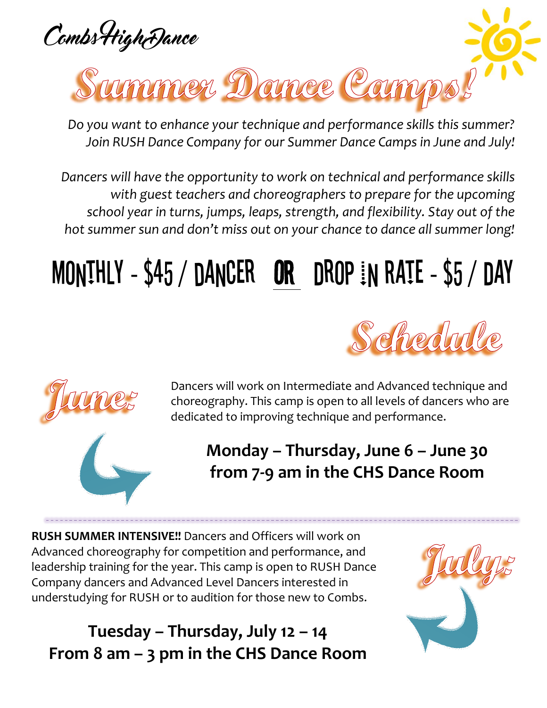

*Do you want to enhance your technique and performance skills this summer? Join RUSH Dance Company for our Summer Dance Camps in June and July!*

*Dancers will have the opportunity to work on technical and performance skills with guest teachers and choreographers to prepare for the upcoming school year in turns, jumps, leaps, strength, and flexibility. Stay out of the hot summer sun and don't miss out on your chance to dance all summer long!*

# MONTHLY -  $$45 / DANCER$  OR DROP IN RATE -  $$5 / DAY$





Dancers will work on Intermediate and Advanced technique and choreography. This camp is open to all levels of dancers who are dedicated to improving technique and performance.

> **Monday – Thursday, June 6 – June 30 from 7-9 am in the CHS Dance Room**

**RUSH SUMMER INTENSIVE!!** Dancers and Officers will work on Advanced choreography for competition and performance, and leadership training for the year. This camp is open to RUSH Dance Company dancers and Advanced Level Dancers interested in understudying for RUSH or to audition for those new to Combs.

**Tuesday – Thursday, July 12 – 14 From 8 am – 3 pm in the CHS Dance Room**